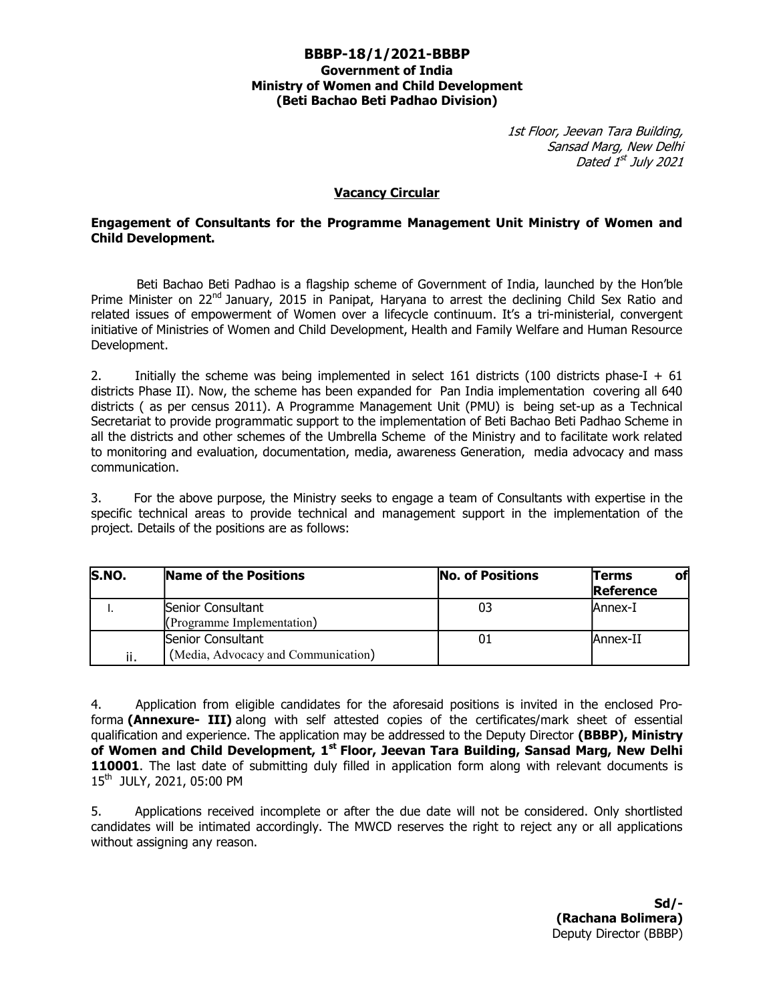#### BBBP-18/1/2021-BBBP Government of India Ministry of Women and Child Development (Beti Bachao Beti Padhao Division)

1st Floor, Jeevan Tara Building, Sansad Marg, New Delhi Dated 1<sup>st</sup> July 2021

#### Vacancy Circular

#### Engagement of Consultants for the Programme Management Unit Ministry of Women and Child Development.

Beti Bachao Beti Padhao is a flagship scheme of Government of India, launched by the Hon'ble Prime Minister on 22<sup>nd</sup> January, 2015 in Panipat, Haryana to arrest the declining Child Sex Ratio and related issues of empowerment of Women over a lifecycle continuum. It's a tri-ministerial, convergent initiative of Ministries of Women and Child Development, Health and Family Welfare and Human Resource Development.

2. Initially the scheme was being implemented in select 161 districts (100 districts phase-I + 61 districts Phase II). Now, the scheme has been expanded for Pan India implementation covering all 640 districts ( as per census 2011). A Programme Management Unit (PMU) is being set-up as a Technical Secretariat to provide programmatic support to the implementation of Beti Bachao Beti Padhao Scheme in all the districts and other schemes of the Umbrella Scheme of the Ministry and to facilitate work related to monitoring and evaluation, documentation, media, awareness Generation, media advocacy and mass communication.

3. For the above purpose, the Ministry seeks to engage a team of Consultants with expertise in the specific technical areas to provide technical and management support in the implementation of the project. Details of the positions are as follows:

| S.NO. | Name of the Positions                                    | <b>No. of Positions</b> | <b>Terms</b><br>ot<br>Reference |
|-------|----------------------------------------------------------|-------------------------|---------------------------------|
|       | Senior Consultant<br>(Programme Implementation)          | 03                      | lAnnex-I                        |
| ii.   | Senior Consultant<br>(Media, Advocacy and Communication) | 01                      | Annex-II                        |

4. Application from eligible candidates for the aforesaid positions is invited in the enclosed Proforma (Annexure- III) along with self attested copies of the certificates/mark sheet of essential qualification and experience. The application may be addressed to the Deputy Director (BBBP), Ministry of Women and Child Development, 1<sup>st</sup> Floor, Jeevan Tara Building, Sansad Marg, New Delhi 110001. The last date of submitting duly filled in application form along with relevant documents is 15th JULY, 2021, 05:00 PM

5. Applications received incomplete or after the due date will not be considered. Only shortlisted candidates will be intimated accordingly. The MWCD reserves the right to reject any or all applications without assigning any reason.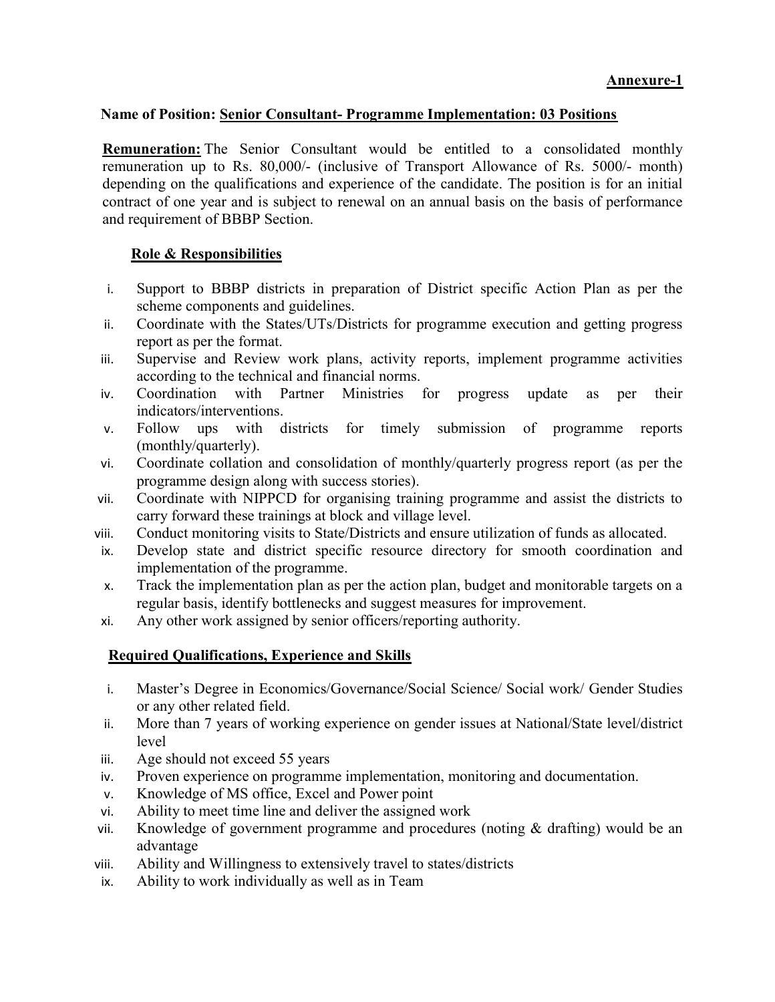## Name of Position: Senior Consultant- Programme Implementation: 03 Positions

Remuneration: The Senior Consultant would be entitled to a consolidated monthly remuneration up to Rs. 80,000/- (inclusive of Transport Allowance of Rs. 5000/- month) depending on the qualifications and experience of the candidate. The position is for an initial contract of one year and is subject to renewal on an annual basis on the basis of performance and requirement of BBBP Section.

## Role & Responsibilities

- i. Support to BBBP districts in preparation of District specific Action Plan as per the scheme components and guidelines.
- ii. Coordinate with the States/UTs/Districts for programme execution and getting progress report as per the format.
- iii. Supervise and Review work plans, activity reports, implement programme activities according to the technical and financial norms.
- iv. Coordination with Partner Ministries for progress update as per their indicators/interventions.
- v. Follow ups with districts for timely submission of programme reports (monthly/quarterly).
- vi. Coordinate collation and consolidation of monthly/quarterly progress report (as per the programme design along with success stories).
- vii. Coordinate with NIPPCD for organising training programme and assist the districts to carry forward these trainings at block and village level.
- viii. Conduct monitoring visits to State/Districts and ensure utilization of funds as allocated.
- ix. Develop state and district specific resource directory for smooth coordination and implementation of the programme.
- x. Track the implementation plan as per the action plan, budget and monitorable targets on a regular basis, identify bottlenecks and suggest measures for improvement.
- xi. Any other work assigned by senior officers/reporting authority.

# Required Qualifications, Experience and Skills

- i. Master's Degree in Economics/Governance/Social Science/ Social work/ Gender Studies or any other related field.
- ii. More than 7 years of working experience on gender issues at National/State level/district level
- iii. Age should not exceed 55 years
- iv. Proven experience on programme implementation, monitoring and documentation.
- v. Knowledge of MS office, Excel and Power point
- vi. Ability to meet time line and deliver the assigned work
- vii. Knowledge of government programme and procedures (noting  $\&$  drafting) would be an advantage
- viii. Ability and Willingness to extensively travel to states/districts
- ix. Ability to work individually as well as in Team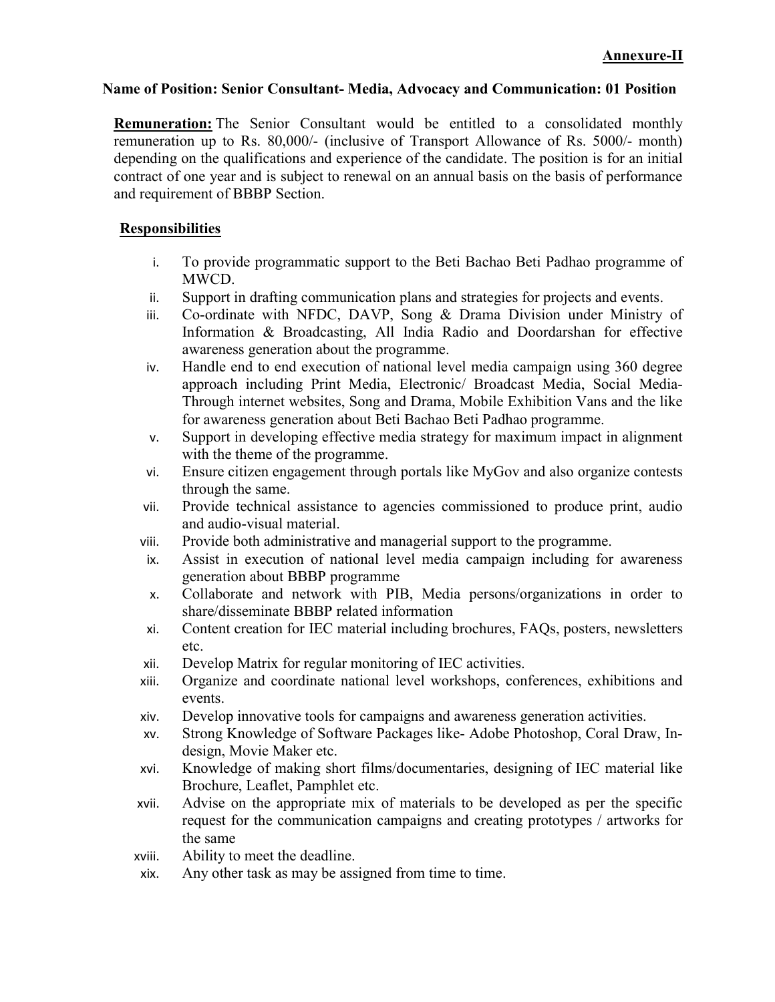### Name of Position: Senior Consultant- Media, Advocacy and Communication: 01 Position

Remuneration: The Senior Consultant would be entitled to a consolidated monthly remuneration up to Rs. 80,000/- (inclusive of Transport Allowance of Rs. 5000/- month) depending on the qualifications and experience of the candidate. The position is for an initial contract of one year and is subject to renewal on an annual basis on the basis of performance and requirement of BBBP Section.

## Responsibilities

- i. To provide programmatic support to the Beti Bachao Beti Padhao programme of MWCD.
- ii. Support in drafting communication plans and strategies for projects and events.
- iii. Co-ordinate with NFDC, DAVP, Song & Drama Division under Ministry of Information & Broadcasting, All India Radio and Doordarshan for effective awareness generation about the programme.
- iv. Handle end to end execution of national level media campaign using 360 degree approach including Print Media, Electronic/ Broadcast Media, Social Media-Through internet websites, Song and Drama, Mobile Exhibition Vans and the like for awareness generation about Beti Bachao Beti Padhao programme.
- v. Support in developing effective media strategy for maximum impact in alignment with the theme of the programme.
- vi. Ensure citizen engagement through portals like MyGov and also organize contests through the same.
- vii. Provide technical assistance to agencies commissioned to produce print, audio and audio-visual material.
- viii. Provide both administrative and managerial support to the programme.
- ix. Assist in execution of national level media campaign including for awareness generation about BBBP programme
- x. Collaborate and network with PIB, Media persons/organizations in order to share/disseminate BBBP related information
- xi. Content creation for IEC material including brochures, FAQs, posters, newsletters etc.
- xii. Develop Matrix for regular monitoring of IEC activities.
- xiii. Organize and coordinate national level workshops, conferences, exhibitions and events.
- xiv. Develop innovative tools for campaigns and awareness generation activities.
- xv. Strong Knowledge of Software Packages like- Adobe Photoshop, Coral Draw, Indesign, Movie Maker etc.
- xvi. Knowledge of making short films/documentaries, designing of IEC material like Brochure, Leaflet, Pamphlet etc.
- xvii. Advise on the appropriate mix of materials to be developed as per the specific request for the communication campaigns and creating prototypes / artworks for the same
- xviii. Ability to meet the deadline.
- xix. Any other task as may be assigned from time to time.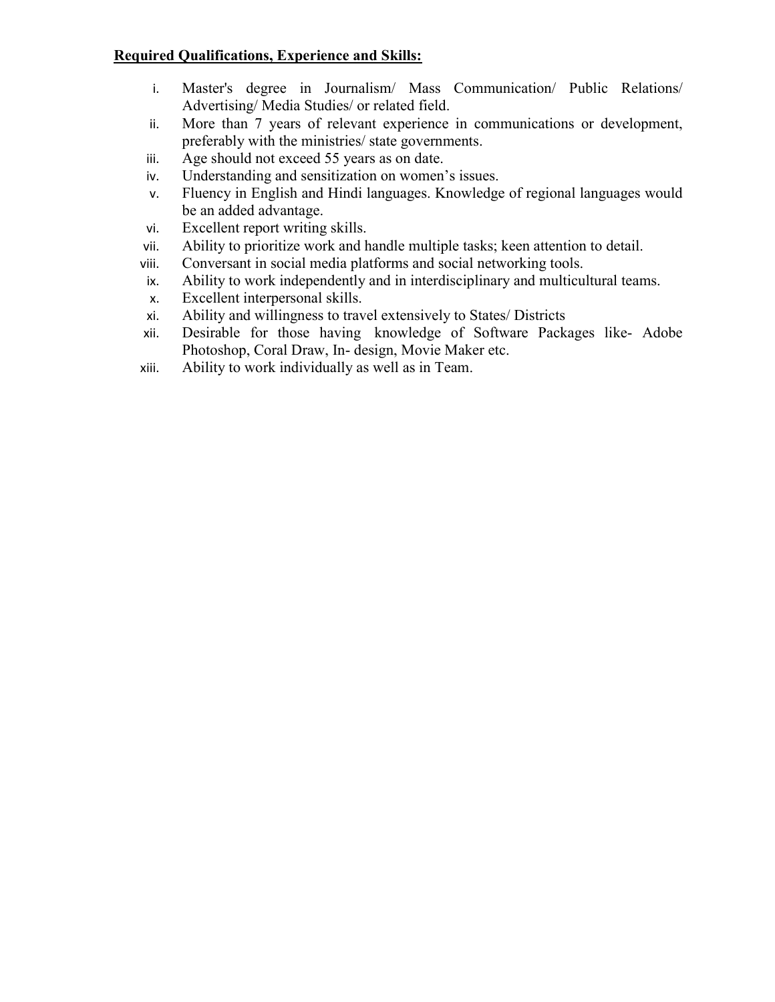# Required Qualifications, Experience and Skills:

- i. Master's degree in Journalism/ Mass Communication/ Public Relations/ Advertising/ Media Studies/ or related field.
- ii. More than 7 years of relevant experience in communications or development, preferably with the ministries/ state governments.
- iii. Age should not exceed 55 years as on date.
- iv. Understanding and sensitization on women's issues.
- v. Fluency in English and Hindi languages. Knowledge of regional languages would be an added advantage.
- vi. Excellent report writing skills.
- vii. Ability to prioritize work and handle multiple tasks; keen attention to detail.
- viii. Conversant in social media platforms and social networking tools.
- ix. Ability to work independently and in interdisciplinary and multicultural teams.
- x. Excellent interpersonal skills.
- xi. Ability and willingness to travel extensively to States/ Districts
- xii. Desirable for those having knowledge of Software Packages like- Adobe Photoshop, Coral Draw, In- design, Movie Maker etc.
- xiii. Ability to work individually as well as in Team.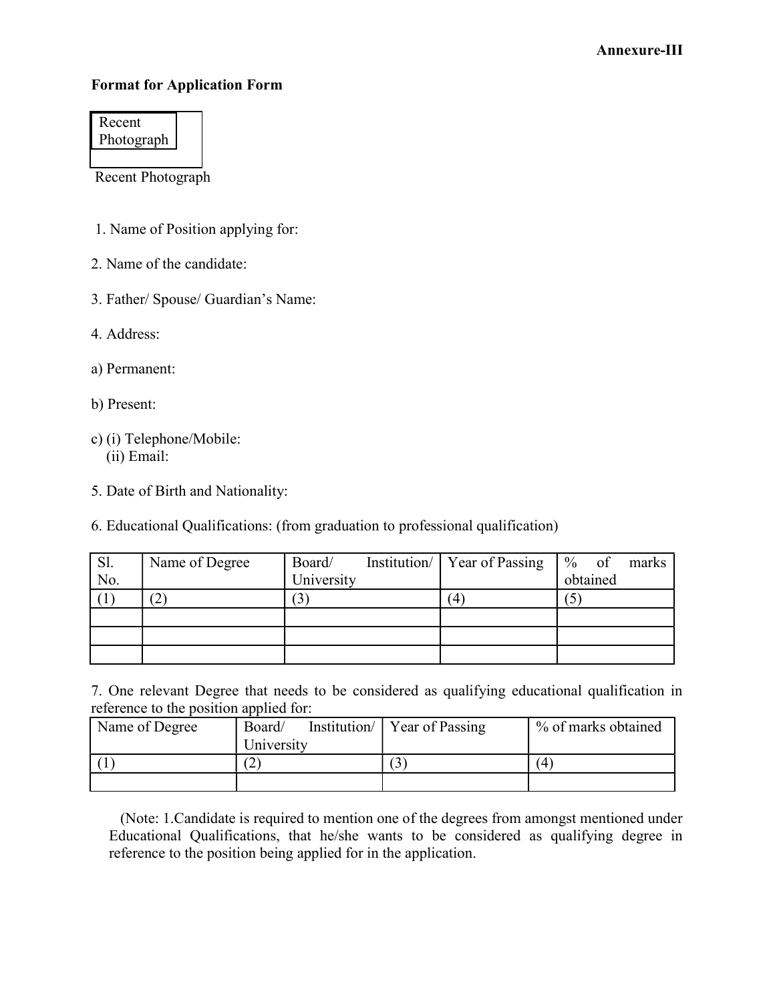# Format for Application Form

| Recent     |
|------------|
| Photograph |

Recent Photograph

- 1. Name of Position applying for:
- 2. Name of the candidate:
- 3. Father/ Spouse/ Guardian's Name:
- 4. Address:
- a) Permanent:
- b) Present:
- c) (i) Telephone/Mobile: (ii) Email:
- 5. Date of Birth and Nationality:
- 6. Educational Qualifications: (from graduation to professional qualification)

| Sl. | Name of Degree | Board/     | Institution/ Year of Passing | $%$ of   | marks |
|-----|----------------|------------|------------------------------|----------|-------|
| No. |                | University |                              | obtained |       |
|     | ാ              |            |                              |          |       |
|     |                |            |                              |          |       |
|     |                |            |                              |          |       |
|     |                |            |                              |          |       |

7. One relevant Degree that needs to be considered as qualifying educational qualification in reference to the position applied for:

| Name of Degree | Board/<br>University | Institution   Year of Passing | % of marks obtained |
|----------------|----------------------|-------------------------------|---------------------|
|                | n<br>∸               |                               | 4                   |
|                |                      |                               |                     |

 (Note: 1.Candidate is required to mention one of the degrees from amongst mentioned under Educational Qualifications, that he/she wants to be considered as qualifying degree in reference to the position being applied for in the application.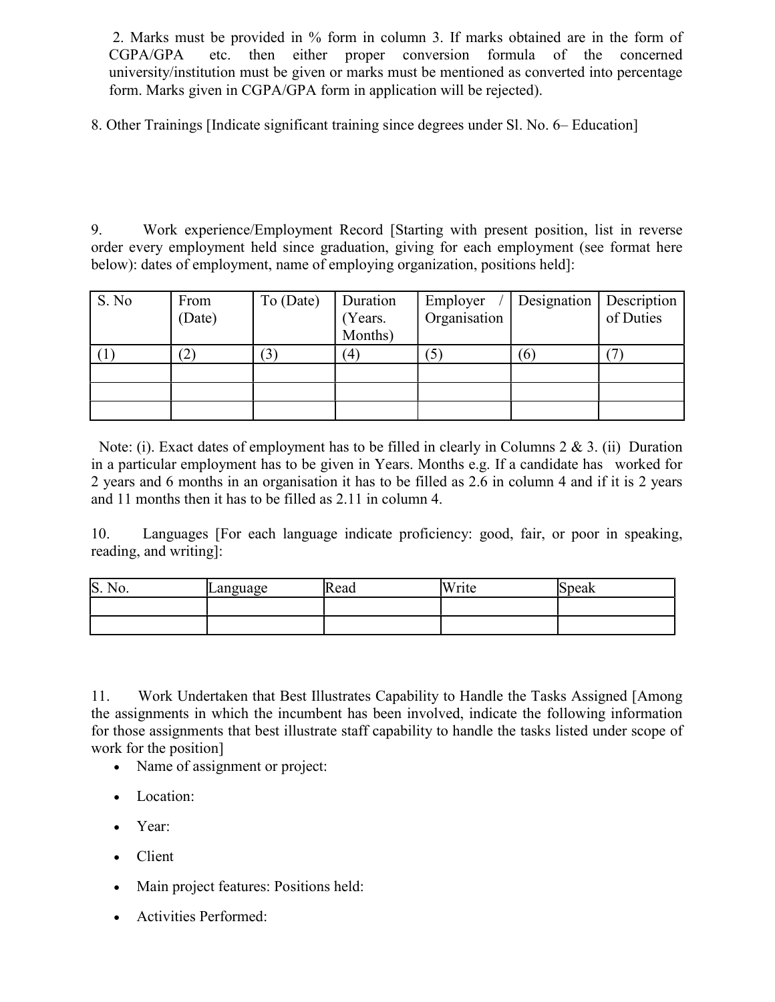2. Marks must be provided in % form in column 3. If marks obtained are in the form of CGPA/GPA etc. then either proper conversion formula of the concerned university/institution must be given or marks must be mentioned as converted into percentage form. Marks given in CGPA/GPA form in application will be rejected).

8. Other Trainings [Indicate significant training since degrees under Sl. No. 6– Education]

9. Work experience/Employment Record [Starting with present position, list in reverse order every employment held since graduation, giving for each employment (see format here below): dates of employment, name of employing organization, positions held]:

| S. No | From<br>(Date)         | To (Date)      | Duration<br>(Years.<br>Months) | Employer<br>Organisation | Designation | Description<br>of Duties |
|-------|------------------------|----------------|--------------------------------|--------------------------|-------------|--------------------------|
|       | $\left 2\right\rangle$ | $\mathfrak{B}$ | $\left( 4\right)$              |                          | I O         |                          |
|       |                        |                |                                |                          |             |                          |
|       |                        |                |                                |                          |             |                          |
|       |                        |                |                                |                          |             |                          |

 Note: (i). Exact dates of employment has to be filled in clearly in Columns 2 & 3. (ii) Duration in a particular employment has to be given in Years. Months e.g. If a candidate has worked for 2 years and 6 months in an organisation it has to be filled as 2.6 in column 4 and if it is 2 years and 11 months then it has to be filled as 2.11 in column 4.

10. Languages [For each language indicate proficiency: good, fair, or poor in speaking, reading, and writing]:

| S.<br>NV. | anguage<br>c | Read | Write | peak |
|-----------|--------------|------|-------|------|
|           |              |      |       |      |
|           |              |      |       |      |

11. Work Undertaken that Best Illustrates Capability to Handle the Tasks Assigned [Among the assignments in which the incumbent has been involved, indicate the following information for those assignments that best illustrate staff capability to handle the tasks listed under scope of work for the position]

- Name of assignment or project:
- Location:
- Year:
- Client
- Main project features: Positions held:
- Activities Performed: